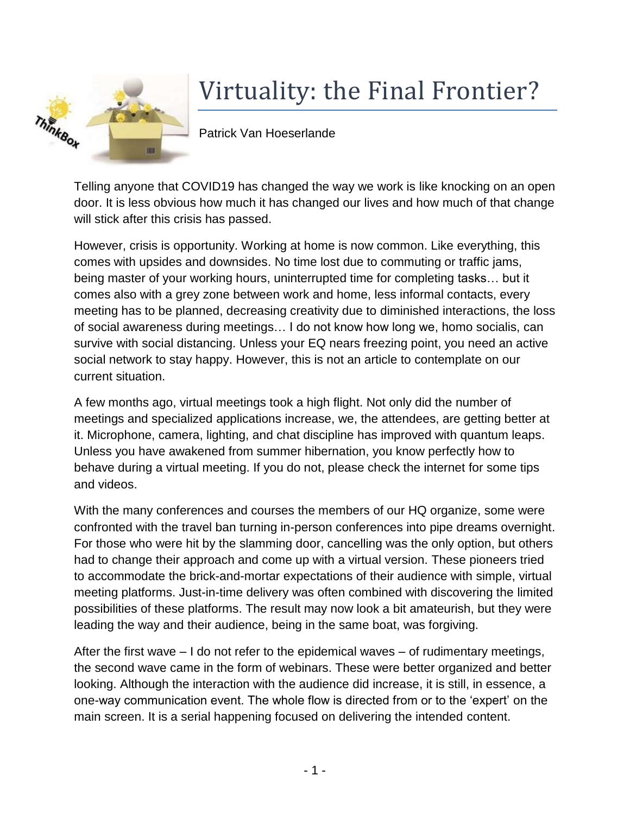

## Virtuality: the Final Frontier?

Patrick Van Hoeserlande

Telling anyone that COVID19 has changed the way we work is like knocking on an open door. It is less obvious how much it has changed our lives and how much of that change will stick after this crisis has passed.

However, crisis is opportunity. Working at home is now common. Like everything, this comes with upsides and downsides. No time lost due to commuting or traffic jams, being master of your working hours, uninterrupted time for completing tasks… but it comes also with a grey zone between work and home, less informal contacts, every meeting has to be planned, decreasing creativity due to diminished interactions, the loss of social awareness during meetings… I do not know how long we, homo socialis, can survive with social distancing. Unless your EQ nears freezing point, you need an active social network to stay happy. However, this is not an article to contemplate on our current situation.

A few months ago, virtual meetings took a high flight. Not only did the number of meetings and specialized applications increase, we, the attendees, are getting better at it. Microphone, camera, lighting, and chat discipline has improved with quantum leaps. Unless you have awakened from summer hibernation, you know perfectly how to behave during a virtual meeting. If you do not, please check the internet for some tips and videos.

With the many conferences and courses the members of our HQ organize, some were confronted with the travel ban turning in-person conferences into pipe dreams overnight. For those who were hit by the slamming door, cancelling was the only option, but others had to change their approach and come up with a virtual version. These pioneers tried to accommodate the brick-and-mortar expectations of their audience with simple, virtual meeting platforms. Just-in-time delivery was often combined with discovering the limited possibilities of these platforms. The result may now look a bit amateurish, but they were leading the way and their audience, being in the same boat, was forgiving.

After the first wave  $-1$  do not refer to the epidemical waves  $-$  of rudimentary meetings, the second wave came in the form of webinars. These were better organized and better looking. Although the interaction with the audience did increase, it is still, in essence, a one-way communication event. The whole flow is directed from or to the 'expert' on the main screen. It is a serial happening focused on delivering the intended content.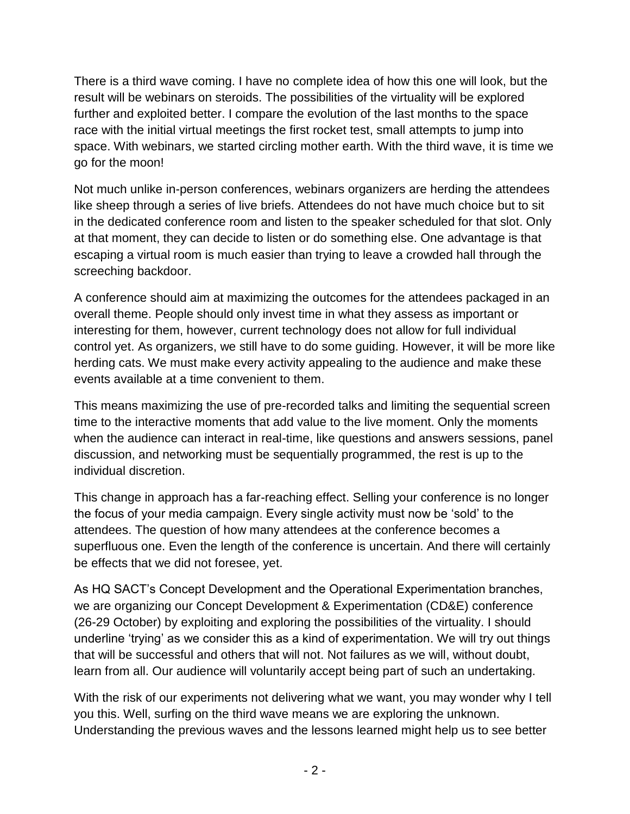There is a third wave coming. I have no complete idea of how this one will look, but the result will be webinars on steroids. The possibilities of the virtuality will be explored further and exploited better. I compare the evolution of the last months to the space race with the initial virtual meetings the first rocket test, small attempts to jump into space. With webinars, we started circling mother earth. With the third wave, it is time we go for the moon!

Not much unlike in-person conferences, webinars organizers are herding the attendees like sheep through a series of live briefs. Attendees do not have much choice but to sit in the dedicated conference room and listen to the speaker scheduled for that slot. Only at that moment, they can decide to listen or do something else. One advantage is that escaping a virtual room is much easier than trying to leave a crowded hall through the screeching backdoor.

A conference should aim at maximizing the outcomes for the attendees packaged in an overall theme. People should only invest time in what they assess as important or interesting for them, however, current technology does not allow for full individual control yet. As organizers, we still have to do some guiding. However, it will be more like herding cats. We must make every activity appealing to the audience and make these events available at a time convenient to them.

This means maximizing the use of pre-recorded talks and limiting the sequential screen time to the interactive moments that add value to the live moment. Only the moments when the audience can interact in real-time, like questions and answers sessions, panel discussion, and networking must be sequentially programmed, the rest is up to the individual discretion.

This change in approach has a far-reaching effect. Selling your conference is no longer the focus of your media campaign. Every single activity must now be 'sold' to the attendees. The question of how many attendees at the conference becomes a superfluous one. Even the length of the conference is uncertain. And there will certainly be effects that we did not foresee, yet.

As HQ SACT's Concept Development and the Operational Experimentation branches, we are organizing our Concept Development & Experimentation (CD&E) conference (26-29 October) by exploiting and exploring the possibilities of the virtuality. I should underline 'trying' as we consider this as a kind of experimentation. We will try out things that will be successful and others that will not. Not failures as we will, without doubt, learn from all. Our audience will voluntarily accept being part of such an undertaking.

With the risk of our experiments not delivering what we want, you may wonder why I tell you this. Well, surfing on the third wave means we are exploring the unknown. Understanding the previous waves and the lessons learned might help us to see better